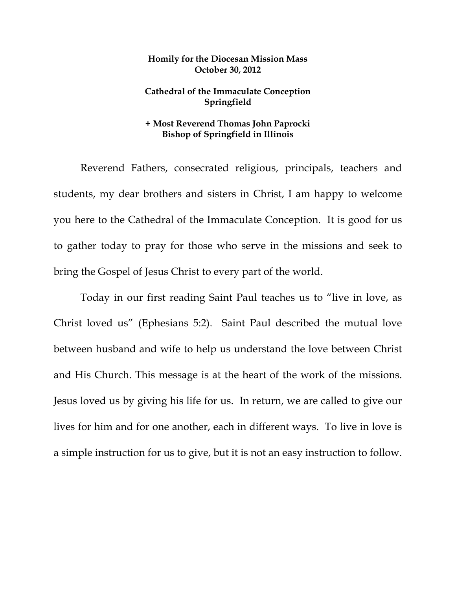## **Homily for the Diocesan Mission Mass October 30, 2012**

## **Cathedral of the Immaculate Conception Springfield**

## **+ Most Reverend Thomas John Paprocki Bishop of Springfield in Illinois**

 Reverend Fathers, consecrated religious, principals, teachers and students, my dear brothers and sisters in Christ, I am happy to welcome you here to the Cathedral of the Immaculate Conception. It is good for us to gather today to pray for those who serve in the missions and seek to bring the Gospel of Jesus Christ to every part of the world.

Today in our first reading Saint Paul teaches us to "live in love, as Christ loved us" (Ephesians 5:2). Saint Paul described the mutual love between husband and wife to help us understand the love between Christ and His Church. This message is at the heart of the work of the missions. Jesus loved us by giving his life for us. In return, we are called to give our lives for him and for one another, each in different ways. To live in love is a simple instruction for us to give, but it is not an easy instruction to follow.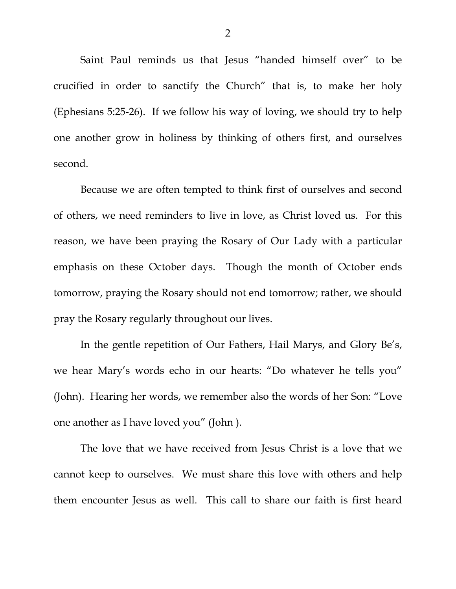Saint Paul reminds us that Jesus "handed himself over" to be crucified in order to sanctify the Church" that is, to make her holy (Ephesians 5:25-26). If we follow his way of loving, we should try to help one another grow in holiness by thinking of others first, and ourselves second.

 Because we are often tempted to think first of ourselves and second of others, we need reminders to live in love, as Christ loved us. For this reason, we have been praying the Rosary of Our Lady with a particular emphasis on these October days. Though the month of October ends tomorrow, praying the Rosary should not end tomorrow; rather, we should pray the Rosary regularly throughout our lives.

 In the gentle repetition of Our Fathers, Hail Marys, and Glory Be's, we hear Mary's words echo in our hearts: "Do whatever he tells you" (John). Hearing her words, we remember also the words of her Son: "Love one another as I have loved you" (John ).

 The love that we have received from Jesus Christ is a love that we cannot keep to ourselves. We must share this love with others and help them encounter Jesus as well. This call to share our faith is first heard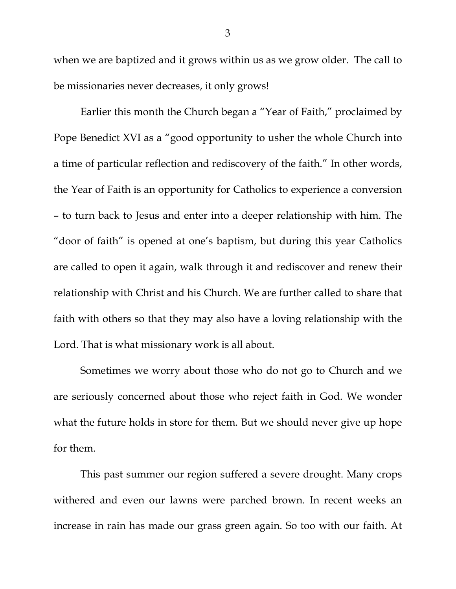when we are baptized and it grows within us as we grow older. The call to be missionaries never decreases, it only grows!

 Earlier this month the Church began a "Year of Faith," proclaimed by Pope Benedict XVI as a "good opportunity to usher the whole Church into a time of particular reflection and rediscovery of the faith." In other words, the Year of Faith is an opportunity for Catholics to experience a conversion – to turn back to Jesus and enter into a deeper relationship with him. The "door of faith" is opened at one's baptism, but during this year Catholics are called to open it again, walk through it and rediscover and renew their relationship with Christ and his Church. We are further called to share that faith with others so that they may also have a loving relationship with the Lord. That is what missionary work is all about.

Sometimes we worry about those who do not go to Church and we are seriously concerned about those who reject faith in God. We wonder what the future holds in store for them. But we should never give up hope for them.

This past summer our region suffered a severe drought. Many crops withered and even our lawns were parched brown. In recent weeks an increase in rain has made our grass green again. So too with our faith. At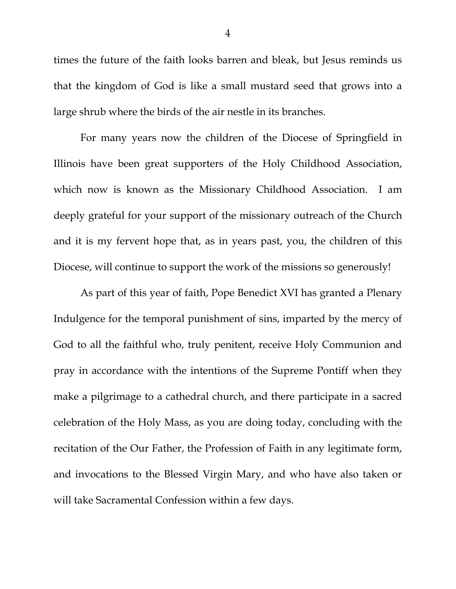times the future of the faith looks barren and bleak, but Jesus reminds us that the kingdom of God is like a small mustard seed that grows into a large shrub where the birds of the air nestle in its branches.

For many years now the children of the Diocese of Springfield in Illinois have been great supporters of the Holy Childhood Association, which now is known as the Missionary Childhood Association. I am deeply grateful for your support of the missionary outreach of the Church and it is my fervent hope that, as in years past, you, the children of this Diocese, will continue to support the work of the missions so generously!

As part of this year of faith, Pope Benedict XVI has granted a Plenary Indulgence for the temporal punishment of sins, imparted by the mercy of God to all the faithful who, truly penitent, receive Holy Communion and pray in accordance with the intentions of the Supreme Pontiff when they make a pilgrimage to a cathedral church, and there participate in a sacred celebration of the Holy Mass, as you are doing today, concluding with the recitation of the Our Father, the Profession of Faith in any legitimate form, and invocations to the Blessed Virgin Mary, and who have also taken or will take Sacramental Confession within a few days.

4